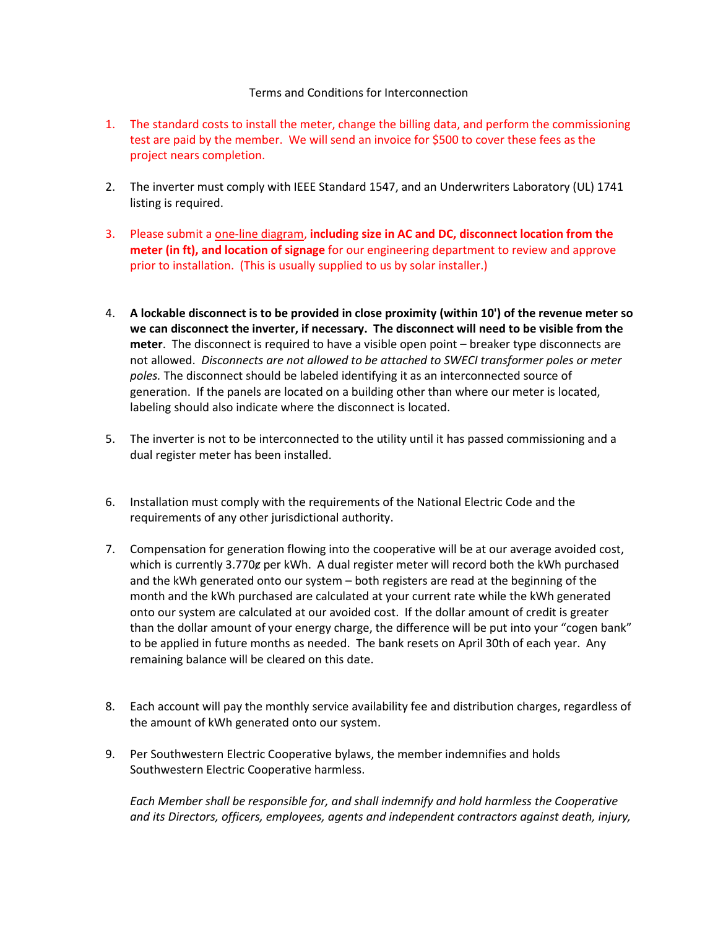## Terms and Conditions for Interconnection

- 1. The standard costs to install the meter, change the billing data, and perform the commissioning test are paid by the member. We will send an invoice for \$500 to cover these fees as the project nears completion.
- 2. The inverter must comply with IEEE Standard 1547, and an Underwriters Laboratory (UL) 1741 listing is required.
- 3. Please submit a one-line diagram, **including size in AC and DC, disconnect location from the meter (in ft), and location of signage** for our engineering department to review and approve prior to installation. (This is usually supplied to us by solar installer.)
- 4. **A lockable disconnect is to be provided in close proximity (within 10') of the revenue meter so we can disconnect the inverter, if necessary. The disconnect will need to be visible from the meter**. The disconnect is required to have a visible open point – breaker type disconnects are not allowed. *Disconnects are not allowed to be attached to SWECI transformer poles or meter poles.* The disconnect should be labeled identifying it as an interconnected source of generation. If the panels are located on a building other than where our meter is located, labeling should also indicate where the disconnect is located.
- 5. The inverter is not to be interconnected to the utility until it has passed commissioning and a dual register meter has been installed.
- 6. Installation must comply with the requirements of the National Electric Code and the requirements of any other jurisdictional authority.
- 7. Compensation for generation flowing into the cooperative will be at our average avoided cost, which is currently 3.770g per kWh. A dual register meter will record both the kWh purchased and the kWh generated onto our system – both registers are read at the beginning of the month and the kWh purchased are calculated at your current rate while the kWh generated onto our system are calculated at our avoided cost. If the dollar amount of credit is greater than the dollar amount of your energy charge, the difference will be put into your "cogen bank" to be applied in future months as needed. The bank resets on April 30th of each year. Any remaining balance will be cleared on this date.
- 8. Each account will pay the monthly service availability fee and distribution charges, regardless of the amount of kWh generated onto our system.
- 9. Per Southwestern Electric Cooperative bylaws, the member indemnifies and holds Southwestern Electric Cooperative harmless.

*Each Member shall be responsible for, and shall indemnify and hold harmless the Cooperative and its Directors, officers, employees, agents and independent contractors against death, injury,*